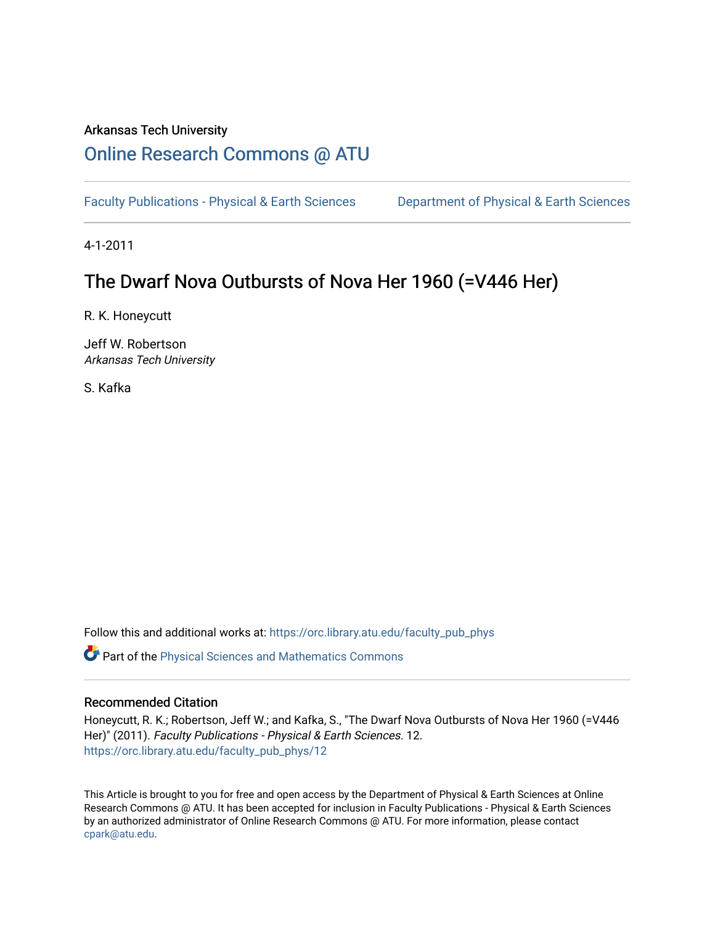## Arkansas Tech University

# [Online Research Commons @ ATU](https://orc.library.atu.edu/)

[Faculty Publications - Physical & Earth Sciences](https://orc.library.atu.edu/faculty_pub_phys) [Department of Physical & Earth Sciences](https://orc.library.atu.edu/physical_sciences) 

4-1-2011

# The Dwarf Nova Outbursts of Nova Her 1960 (=V446 Her)

R. K. Honeycutt

Jeff W. Robertson Arkansas Tech University

S. Kafka

Follow this and additional works at: [https://orc.library.atu.edu/faculty\\_pub\\_phys](https://orc.library.atu.edu/faculty_pub_phys?utm_source=orc.library.atu.edu%2Ffaculty_pub_phys%2F12&utm_medium=PDF&utm_campaign=PDFCoverPages) 

Part of the [Physical Sciences and Mathematics Commons](https://network.bepress.com/hgg/discipline/114?utm_source=orc.library.atu.edu%2Ffaculty_pub_phys%2F12&utm_medium=PDF&utm_campaign=PDFCoverPages) 

## Recommended Citation

Honeycutt, R. K.; Robertson, Jeff W.; and Kafka, S., "The Dwarf Nova Outbursts of Nova Her 1960 (=V446 Her)" (2011). Faculty Publications - Physical & Earth Sciences. 12. [https://orc.library.atu.edu/faculty\\_pub\\_phys/12](https://orc.library.atu.edu/faculty_pub_phys/12?utm_source=orc.library.atu.edu%2Ffaculty_pub_phys%2F12&utm_medium=PDF&utm_campaign=PDFCoverPages)

This Article is brought to you for free and open access by the Department of Physical & Earth Sciences at Online Research Commons @ ATU. It has been accepted for inclusion in Faculty Publications - Physical & Earth Sciences by an authorized administrator of Online Research Commons @ ATU. For more information, please contact [cpark@atu.edu](mailto:cpark@atu.edu).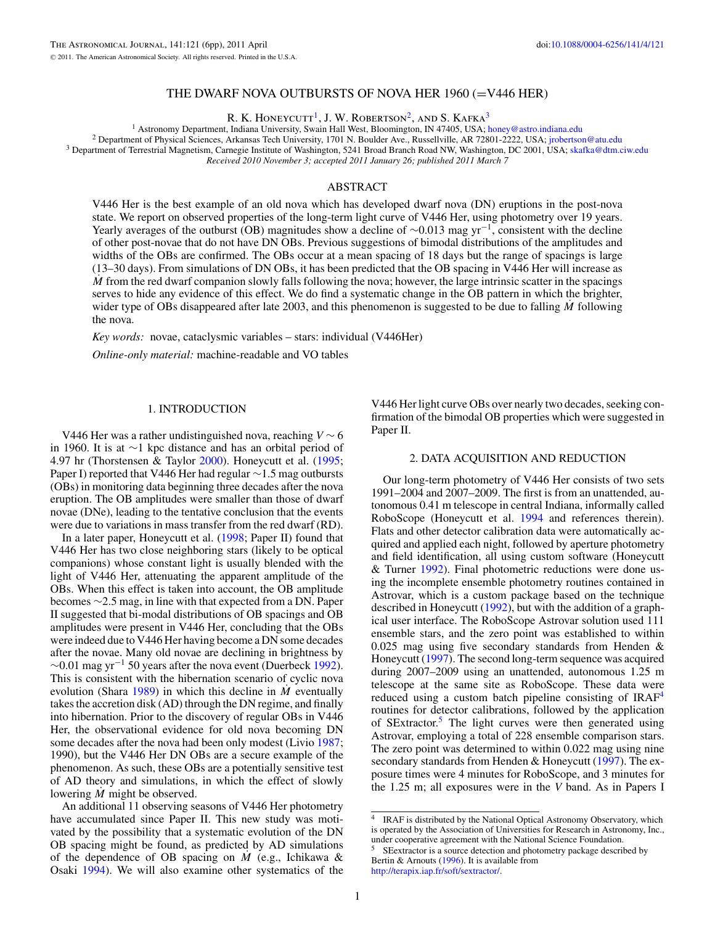### THE DWARF NOVA OUTBURSTS OF NOVA HER 1960 (=V446 HER)

R. K. HONEYCUTT<sup>1</sup>, J. W. ROBERTSON<sup>2</sup>, AND S. KAFKA<sup>3</sup>

<span id="page-1-0"></span><sup>1</sup> Astronomy Department, Indiana University, Swain Hall West, Bloomington, IN 47405, USA; [honey@astro.indiana.edu](mailto:honey@astro.indiana.edu)<br><sup>2</sup> Department of Physical Sciences, Arkansas Tech University, 1701 N. Boulder Ave., Russellville, AR 72801 *Received 2010 November 3; accepted 2011 January 26; published 2011 March 7*

### ABSTRACT

V446 Her is the best example of an old nova which has developed dwarf nova (DN) eruptions in the post-nova state. We report on observed properties of the long-term light curve of V446 Her, using photometry over 19 years. Yearly averages of the outburst (OB) magnitudes show a decline of  $\sim$ 0.013 mag yr<sup>-1</sup>, consistent with the decline of other post-novae that do not have DN OBs. Previous suggestions of bimodal distributions of the amplitudes and widths of the OBs are confirmed. The OBs occur at a mean spacing of 18 days but the range of spacings is large (13–30 days). From simulations of DN OBs, it has been predicted that the OB spacing in V446 Her will increase as *M* from the red dwarf companion slowly falls following the nova; however, the large intrinsic scatter in the spacings serves to hide any evidence of this effect. We do find a systematic change in the OB pattern in which the brighter, wider type of OBs disappeared after late 2003, and this phenomenon is suggested to be due to falling *M* following the nova.

*Key words:* novae, cataclysmic variables – stars: individual (V446Her)

*Online-only material:* machine-readable and VO tables

#### 1. INTRODUCTION

V446 Her was a rather undistinguished nova, reaching *V* ∼ 6 in 1960. It is at ∼1 kpc distance and has an orbital period of 4.97 hr (Thorstensen & Taylor [2000\)](#page-6-0). Honeycutt et al. [\(1995;](#page-6-0) Paper I) reported that V446 Her had regular ∼1.5 mag outbursts (OBs) in monitoring data beginning three decades after the nova eruption. The OB amplitudes were smaller than those of dwarf novae (DNe), leading to the tentative conclusion that the events were due to variations in mass transfer from the red dwarf (RD).

In a later paper, Honeycutt et al. [\(1998;](#page-6-0) Paper II) found that V446 Her has two close neighboring stars (likely to be optical companions) whose constant light is usually blended with the light of V446 Her, attenuating the apparent amplitude of the OBs. When this effect is taken into account, the OB amplitude becomes ∼2.5 mag, in line with that expected from a DN. Paper II suggested that bi-modal distributions of OB spacings and OB amplitudes were present in V446 Her, concluding that the OBs were indeed due to V446 Her having become a DN some decades after the novae. Many old novae are declining in brightness by  $\sim$ 0.01 mag yr<sup>-1</sup> 50 years after the nova event (Duerbeck [1992\)](#page-5-0). This is consistent with the hibernation scenario of cyclic nova evolution (Shara [1989\)](#page-6-0) in which this decline in *M* eventually takes the accretion disk (AD) through the DN regime, and finally into hibernation. Prior to the discovery of regular OBs in V446 Her, the observational evidence for old nova becoming DN some decades after the nova had been only modest (Livio [1987;](#page-6-0) 1990), but the V446 Her DN OBs are a secure example of the phenomenon. As such, these OBs are a potentially sensitive test of AD theory and simulations, in which the effect of slowly lowering *M* might be observed.

An additional 11 observing seasons of V446 Her photometry have accumulated since Paper II. This new study was motivated by the possibility that a systematic evolution of the DN OB spacing might be found, as predicted by AD simulations of the dependence of OB spacing on *M*˙ (e.g., Ichikawa & Osaki [1994\)](#page-6-0). We will also examine other systematics of the

V446 Her light curve OBs over nearly two decades, seeking confirmation of the bimodal OB properties which were suggested in Paper II.

#### 2. DATA ACQUISITION AND REDUCTION

Our long-term photometry of V446 Her consists of two sets 1991–2004 and 2007–2009. The first is from an unattended, autonomous 0.41 m telescope in central Indiana, informally called RoboScope (Honeycutt et al. [1994](#page-5-0) and references therein). Flats and other detector calibration data were automatically acquired and applied each night, followed by aperture photometry and field identification, all using custom software (Honeycutt & Turner [1992\)](#page-6-0). Final photometric reductions were done using the incomplete ensemble photometry routines contained in Astrovar, which is a custom package based on the technique described in Honeycutt [\(1992\)](#page-5-0), but with the addition of a graphical user interface. The RoboScope Astrovar solution used 111 ensemble stars, and the zero point was established to within 0.025 mag using five secondary standards from Henden & Honeycutt [\(1997\)](#page-5-0). The second long-term sequence was acquired during 2007–2009 using an unattended, autonomous 1.25 m telescope at the same site as RoboScope. These data were reduced using a custom batch pipeline consisting of  $IRAF<sup>4</sup>$ routines for detector calibrations, followed by the application of SExtractor.<sup>5</sup> The light curves were then generated using Astrovar, employing a total of 228 ensemble comparison stars. The zero point was determined to within 0.022 mag using nine secondary standards from Henden & Honeycutt [\(1997\)](#page-5-0). The exposure times were 4 minutes for RoboScope, and 3 minutes for the 1.25 m; all exposures were in the *V* band. As in Papers I

<sup>&</sup>lt;sup>4</sup> IRAF is distributed by the National Optical Astronomy Observatory, which is operated by the Association of Universities for Research in Astronomy, Inc., under cooperative agreement with the National Science Foundation.

<sup>5</sup> SEextractor is a source detection and photometry package described by Bertin & Arnouts [\(1996\)](#page-5-0). It is available from [http://terapix.iap.fr/soft/sextractor/.](http://terapix.iap.fr/soft/sextractor/)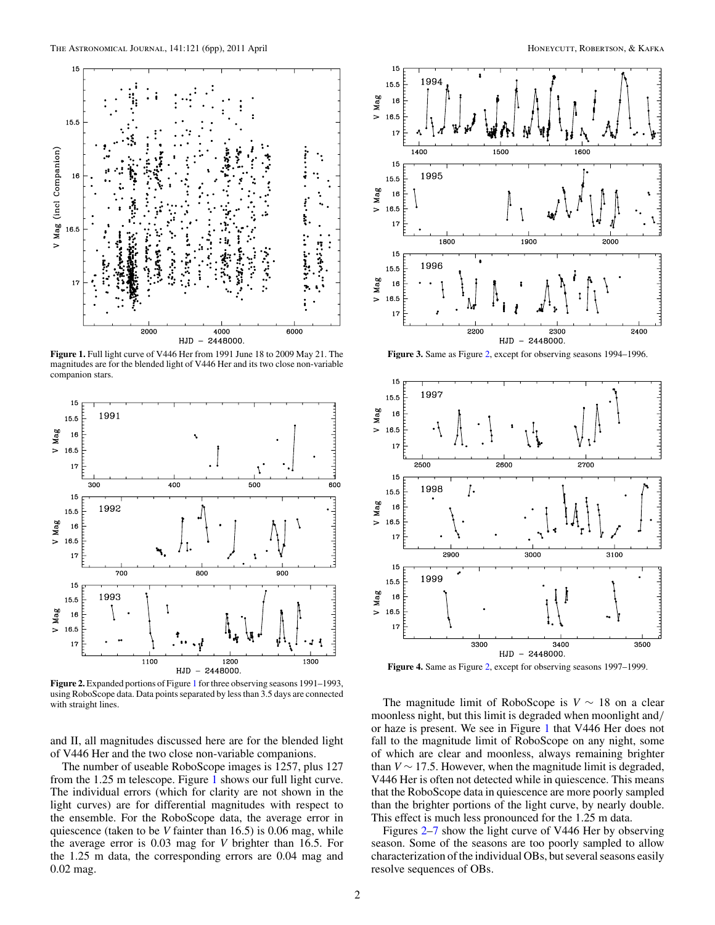<span id="page-2-0"></span>

**Figure 1.** Full light curve of V446 Her from 1991 June 18 to 2009 May 21. The magnitudes are for the blended light of V446 Her and its two close non-variable companion stars.



**Figure 2.** Expanded portions of Figure 1 for three observing seasons 1991–1993, using RoboScope data. Data points separated by less than 3.5 days are connected with straight lines.

and II, all magnitudes discussed here are for the blended light of V446 Her and the two close non-variable companions.

The number of useable RoboScope images is 1257, plus 127 from the 1.25 m telescope. Figure 1 shows our full light curve. The individual errors (which for clarity are not shown in the light curves) are for differential magnitudes with respect to the ensemble. For the RoboScope data, the average error in quiescence (taken to be *V* fainter than 16.5) is 0.06 mag, while the average error is 0.03 mag for *V* brighter than 16.5. For the 1.25 m data, the corresponding errors are 0.04 mag and 0.02 mag.



**Figure 3.** Same as Figure 2, except for observing seasons 1994–1996.



**Figure 4.** Same as Figure 2, except for observing seasons 1997–1999.

The magnitude limit of RoboScope is  $V \sim 18$  on a clear moonless night, but this limit is degraded when moonlight and*/* or haze is present. We see in Figure 1 that V446 Her does not fall to the magnitude limit of RoboScope on any night, some of which are clear and moonless, always remaining brighter than  $V \sim 17.5$ . However, when the magnitude limit is degraded, V446 Her is often not detected while in quiescence. This means that the RoboScope data in quiescence are more poorly sampled than the brighter portions of the light curve, by nearly double. This effect is much less pronounced for the 1.25 m data.

Figures 2[–7](#page-3-0) show the light curve of V446 Her by observing season. Some of the seasons are too poorly sampled to allow characterization of the individual OBs, but several seasons easily resolve sequences of OBs.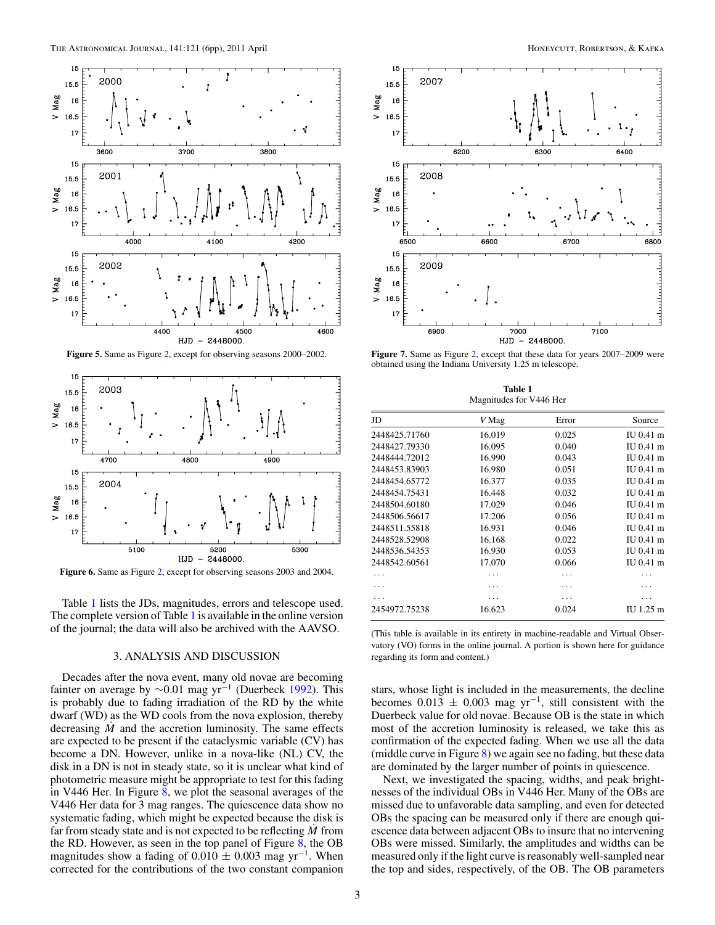<span id="page-3-0"></span>

**Figure 5.** Same as Figure [2,](#page-2-0) except for observing seasons 2000–2002.



**Figure 6.** Same as Figure [2,](#page-2-0) except for observing seasons 2003 and 2004.

Table 1 lists the JDs, magnitudes, errors and telescope used. The complete version of Table 1 is available in the online version of the journal; the data will also be archived with the AAVSO.

#### 3. ANALYSIS AND DISCUSSION

Decades after the nova event, many old novae are becoming fainter on average by  $\sim$ 0.01 mag yr<sup>-1</sup> (Duerbeck [1992\)](#page-5-0). This is probably due to fading irradiation of the RD by the white dwarf (WD) as the WD cools from the nova explosion, thereby decreasing  $\dot{M}$  and the accretion luminosity. The same effects are expected to be present if the cataclysmic variable (CV) has become a DN. However, unlike in a nova-like (NL) CV, the disk in a DN is not in steady state, so it is unclear what kind of photometric measure might be appropriate to test for this fading in V446 Her. In Figure [8,](#page-4-0) we plot the seasonal averages of the V446 Her data for 3 mag ranges. The quiescence data show no systematic fading, which might be expected because the disk is far from steady state and is not expected to be reflecting *M*˙ from the RD. However, as seen in the top panel of Figure  $8$ , the OB magnitudes show a fading of  $0.010 \pm 0.003$  mag yr<sup>-1</sup>. When corrected for the contributions of the two constant companion



**Figure 7.** Same as Figure [2,](#page-2-0) except that these data for years 2007–2009 were obtained using the Indiana University 1.25 m telescope.

**Table 1** Magnitudes for V446 Her

| JD            | V Mag  | Error | Source      |
|---------------|--------|-------|-------------|
| 2448425.71760 | 16.019 | 0.025 | $IU$ 0.41 m |
| 2448427.79330 | 16.095 | 0.040 | $IU$ 0.41 m |
| 2448444.72012 | 16.990 | 0.043 | $IU$ 0.41 m |
| 2448453.83903 | 16.980 | 0.051 | $IU$ 0.41 m |
| 2448454.65772 | 16.377 | 0.035 | $IU$ 0.41 m |
| 2448454.75431 | 16.448 | 0.032 | $IU$ 0.41 m |
| 2448504.60180 | 17.029 | 0.046 | $IU$ 0.41 m |
| 2448506.56617 | 17.206 | 0.056 | $IU$ 0.41 m |
| 2448511.55818 | 16.931 | 0.046 | $IU$ 0.41 m |
| 2448528.52908 | 16.168 | 0.022 | $IU$ 0.41 m |
| 2448536.54353 | 16.930 | 0.053 | $IU$ 0.41 m |
| 2448542.60561 | 17.070 | 0.066 | IU 0.41 m   |
|               |        |       |             |
|               |        |       |             |
|               |        |       |             |
| 2454972.75238 | 16.623 | 0.024 | IU 1.25 m   |

(This table is available in its entirety in machine-readable and Virtual Observatory (VO) forms in the online journal. A portion is shown here for guidance regarding its form and content.)

stars, whose light is included in the measurements, the decline becomes  $0.013 \pm 0.003$  mag yr<sup>-1</sup>, still consistent with the Duerbeck value for old novae. Because OB is the state in which most of the accretion luminosity is released, we take this as confirmation of the expected fading. When we use all the data (middle curve in Figure [8\)](#page-4-0) we again see no fading, but these data are dominated by the larger number of points in quiescence.

Next, we investigated the spacing, widths, and peak brightnesses of the individual OBs in V446 Her. Many of the OBs are missed due to unfavorable data sampling, and even for detected OBs the spacing can be measured only if there are enough quiescence data between adjacent OBs to insure that no intervening OBs were missed. Similarly, the amplitudes and widths can be measured only if the light curve is reasonably well-sampled near the top and sides, respectively, of the OB. The OB parameters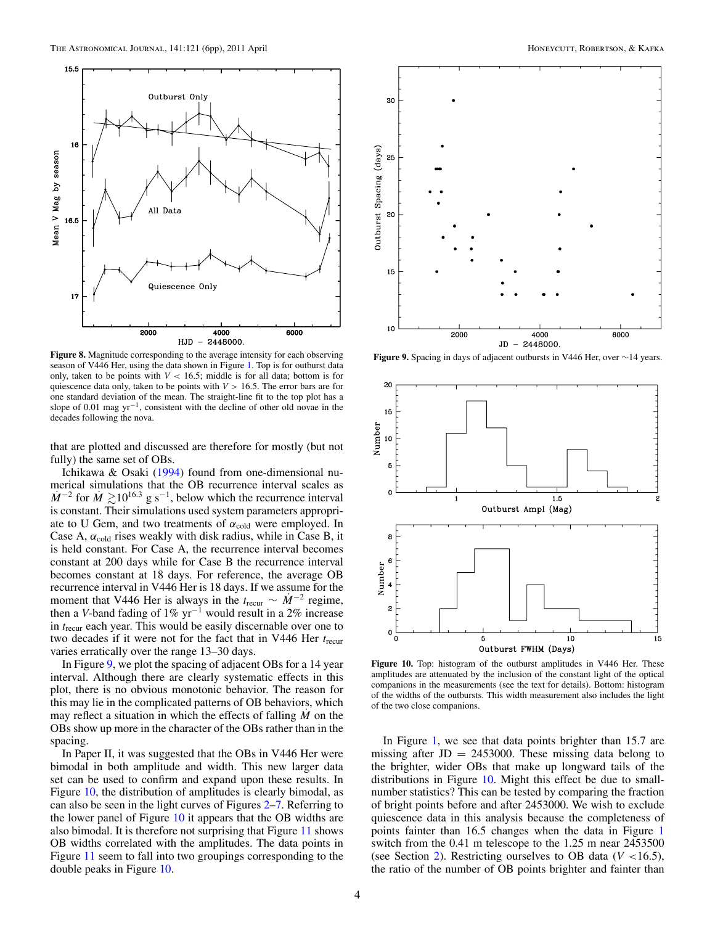<span id="page-4-0"></span>

**Figure 8.** Magnitude corresponding to the average intensity for each observing season of V446 Her, using the data shown in Figure [1.](#page-2-0) Top is for outburst data only, taken to be points with  $V < 16.5$ ; middle is for all data; bottom is for quiescence data only, taken to be points with  $V > 16.5$ . The error bars are for one standard deviation of the mean. The straight-line fit to the top plot has a slope of 0.01 mag  $yr^{-1}$ , consistent with the decline of other old novae in the decades following the nova.

that are plotted and discussed are therefore for mostly (but not fully) the same set of OBs.

Ichikawa & Osaki [\(1994\)](#page-6-0) found from one-dimensional numerical simulations that the OB recurrence interval scales as  $\dot{M}^{-2}$  for  $\dot{M} \gtrsim 10^{16.3}$  g s<sup>-1</sup>, below which the recurrence interval is constant. Their simulations used system parameters appropriate to U Gem, and two treatments of  $\alpha_{\text{cold}}$  were employed. In Case A,  $\alpha_{\text{cold}}$  rises weakly with disk radius, while in Case B, it is held constant. For Case A, the recurrence interval becomes constant at 200 days while for Case B the recurrence interval becomes constant at 18 days. For reference, the average OB recurrence interval in V446 Her is 18 days. If we assume for the moment that V446 Her is always in the  $t_{\text{recur}} \sim M^{-2}$  regime, then a *V*-band fading of 1% yr−<sup>1</sup> would result in a 2% increase in *t*recur each year. This would be easily discernable over one to two decades if it were not for the fact that in V446 Her *t*recur varies erratically over the range 13–30 days.

In Figure 9, we plot the spacing of adjacent OBs for a 14 year interval. Although there are clearly systematic effects in this plot, there is no obvious monotonic behavior. The reason for this may lie in the complicated patterns of OB behaviors, which may reflect a situation in which the effects of falling *M* on the OBs show up more in the character of the OBs rather than in the spacing.

In Paper II, it was suggested that the OBs in V446 Her were bimodal in both amplitude and width. This new larger data set can be used to confirm and expand upon these results. In Figure 10, the distribution of amplitudes is clearly bimodal, as can also be seen in the light curves of Figures [2](#page-2-0)[–7.](#page-3-0) Referring to the lower panel of Figure 10 it appears that the OB widths are also bimodal. It is therefore not surprising that Figure [11](#page-5-0) shows OB widths correlated with the amplitudes. The data points in Figure [11](#page-5-0) seem to fall into two groupings corresponding to the double peaks in Figure 10.



**Figure 9.** Spacing in days of adjacent outbursts in V446 Her, over ∼14 years.



**Figure 10.** Top: histogram of the outburst amplitudes in V446 Her. These amplitudes are attenuated by the inclusion of the constant light of the optical companions in the measurements (see the text for details). Bottom: histogram of the widths of the outbursts. This width measurement also includes the light of the two close companions.

In Figure [1,](#page-2-0) we see that data points brighter than 15.7 are missing after  $JD = 2453000$ . These missing data belong to the brighter, wider OBs that make up longward tails of the distributions in Figure 10. Might this effect be due to smallnumber statistics? This can be tested by comparing the fraction of bright points before and after 2453000. We wish to exclude quiescence data in this analysis because the completeness of points fainter than 16.5 changes when the data in Figure [1](#page-2-0) switch from the 0.41 m telescope to the 1.25 m near 2453500 (see Section [2\)](#page-1-0). Restricting ourselves to OB data (*V <*16.5), the ratio of the number of OB points brighter and fainter than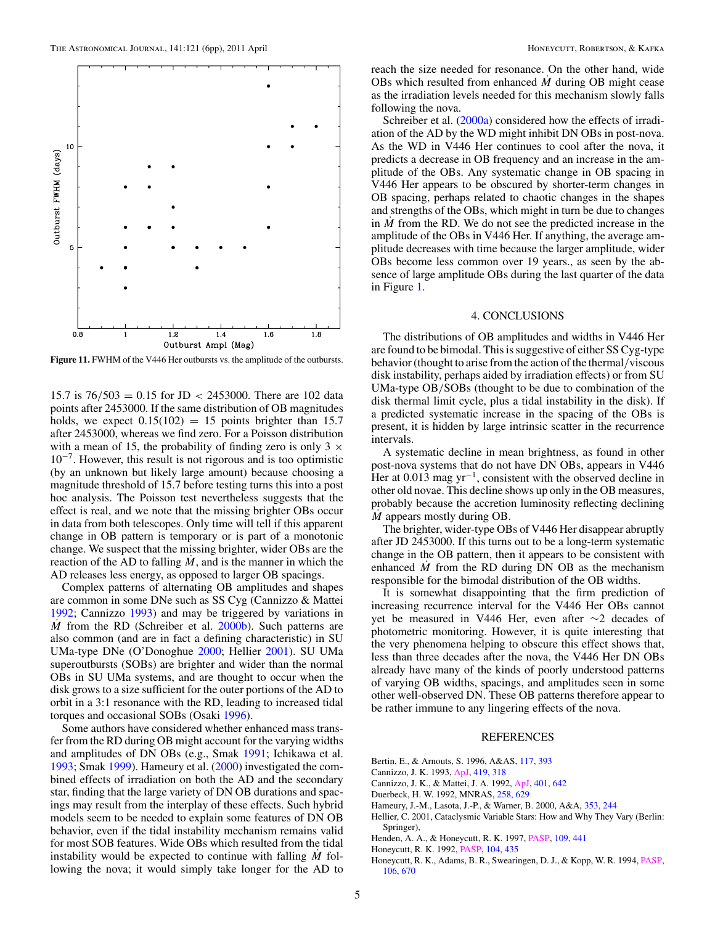<span id="page-5-0"></span>

**Figure 11.** FWHM of the V446 Her outbursts vs. the amplitude of the outbursts.

15.7 is 76*/*503 = 0.15 for JD *<* 2453000. There are 102 data points after 2453000. If the same distribution of OB magnitudes holds, we expect  $0.15(102) = 15$  points brighter than 15.7 after 2453000, whereas we find zero. For a Poisson distribution with a mean of 15, the probability of finding zero is only  $3 \times$  $10^{-7}$ . However, this result is not rigorous and is too optimistic (by an unknown but likely large amount) because choosing a magnitude threshold of 15.7 before testing turns this into a post hoc analysis. The Poisson test nevertheless suggests that the effect is real, and we note that the missing brighter OBs occur in data from both telescopes. Only time will tell if this apparent change in OB pattern is temporary or is part of a monotonic change. We suspect that the missing brighter, wider OBs are the reaction of the AD to falling  $M$ , and is the manner in which the AD releases less energy, as opposed to larger OB spacings.

Complex patterns of alternating OB amplitudes and shapes are common in some DNe such as SS Cyg (Cannizzo & Mattei 1992; Cannizzo 1993) and may be triggered by variations in *M* from the RD (Schreiber et al. [2000b\)](#page-6-0). Such patterns are also common (and are in fact a defining characteristic) in SU UMa-type DNe (O'Donoghue [2000;](#page-6-0) Hellier 2001). SU UMa superoutbursts (SOBs) are brighter and wider than the normal OBs in SU UMa systems, and are thought to occur when the disk grows to a size sufficient for the outer portions of the AD to orbit in a 3:1 resonance with the RD, leading to increased tidal torques and occasional SOBs (Osaki [1996\)](#page-6-0).

Some authors have considered whether enhanced mass transfer from the RD during OB might account for the varying widths and amplitudes of DN OBs (e.g., Smak [1991;](#page-6-0) Ichikawa et al. [1993;](#page-6-0) Smak [1999\)](#page-6-0). Hameury et al. (2000) investigated the combined effects of irradiation on both the AD and the secondary star, finding that the large variety of DN OB durations and spacings may result from the interplay of these effects. Such hybrid models seem to be needed to explain some features of DN OB behavior, even if the tidal instability mechanism remains valid for most SOB features. Wide OBs which resulted from the tidal instability would be expected to continue with falling *M*˙ following the nova; it would simply take longer for the AD to

reach the size needed for resonance. On the other hand, wide OBs which resulted from enhanced *M*˙ during OB might cease as the irradiation levels needed for this mechanism slowly falls following the nova.

Schreiber et al. [\(2000a\)](#page-6-0) considered how the effects of irradiation of the AD by the WD might inhibit DN OBs in post-nova. As the WD in V446 Her continues to cool after the nova, it predicts a decrease in OB frequency and an increase in the amplitude of the OBs. Any systematic change in OB spacing in V446 Her appears to be obscured by shorter-term changes in OB spacing, perhaps related to chaotic changes in the shapes and strengths of the OBs, which might in turn be due to changes in  $\dot{M}$  from the RD. We do not see the predicted increase in the amplitude of the OBs in V446 Her. If anything, the average amplitude decreases with time because the larger amplitude, wider OBs become less common over 19 years., as seen by the absence of large amplitude OBs during the last quarter of the data in Figure [1.](#page-2-0)

#### 4. CONCLUSIONS

The distributions of OB amplitudes and widths in V446 Her are found to be bimodal. This is suggestive of either SS Cyg-type behavior (thought to arise from the action of the thermal*/*viscous disk instability, perhaps aided by irradiation effects) or from SU UMa-type OB*/*SOBs (thought to be due to combination of the disk thermal limit cycle, plus a tidal instability in the disk). If a predicted systematic increase in the spacing of the OBs is present, it is hidden by large intrinsic scatter in the recurrence intervals.

A systematic decline in mean brightness, as found in other post-nova systems that do not have DN OBs, appears in V446 Her at 0.013 mag  $yr^{-1}$ , consistent with the observed decline in other old novae. This decline shows up only in the OB measures, probably because the accretion luminosity reflecting declining *M* appears mostly during OB.

The brighter, wider-type OBs of V446 Her disappear abruptly after JD 2453000. If this turns out to be a long-term systematic change in the OB pattern, then it appears to be consistent with enhanced  $\dot{M}$  from the RD during DN OB as the mechanism responsible for the bimodal distribution of the OB widths.

It is somewhat disappointing that the firm prediction of increasing recurrence interval for the V446 Her OBs cannot yet be measured in V446 Her, even after ∼2 decades of photometric monitoring. However, it is quite interesting that the very phenomena helping to obscure this effect shows that, less than three decades after the nova, the V446 Her DN OBs already have many of the kinds of poorly understood patterns of varying OB widths, spacings, and amplitudes seen in some other well-observed DN. These OB patterns therefore appear to be rather immune to any lingering effects of the nova.

#### REFERENCES

- Bertin, E., & Arnouts, S. 1996, A&AS, [117, 393](http://adsabs.harvard.edu/abs/1996A&AS..117..393B)
- Cannizzo, J. K. 1993, [ApJ,](http://dx.doi.org/10.1086/173486) [419, 318](http://adsabs.harvard.edu/abs/1993ApJ...419..318C)
- Cannizzo, J. K., & Mattei, J. A. 1992, [ApJ,](http://dx.doi.org/10.1086/172092) [401, 642](http://adsabs.harvard.edu/abs/1992ApJ...401..642C)
- Duerbeck, H. W. 1992, MNRAS, [258, 629](http://adsabs.harvard.edu/abs/1992MNRAS.258..629D)
- Hameury, J.-M., Lasota, J.-P., & Warner, B. 2000, A&A, [353, 244](http://adsabs.harvard.edu/abs/2000A&A...353..244H)
- Hellier, C. 2001, Cataclysmic Variable Stars: How and Why They Vary (Berlin: Springer),
- Henden, A. A., & Honeycutt, R. K. 1997, [PASP,](http://dx.doi.org/10.1086/133901) [109, 441](http://adsabs.harvard.edu/abs/1997PASP..109..441H)
- Honeycutt, R. K. 1992, [PASP,](http://dx.doi.org/10.1086/133015) [104, 435](http://adsabs.harvard.edu/abs/1992PASP..104..435H)
- Honeycutt, R. K., Adams, B. R., Swearingen, D. J., & Kopp, W. R. 1994, [PASP,](http://dx.doi.org/10.1086/133427) [106, 670](http://adsabs.harvard.edu/abs/1994PASP..106..670H)